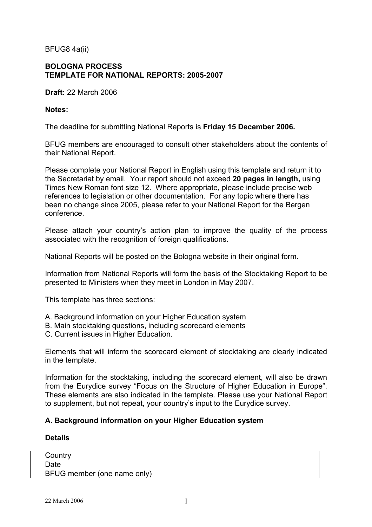BFUG8 4a(ii)

## **BOLOGNA PROCESS TEMPLATE FOR NATIONAL REPORTS: 2005-2007**

**Draft:** 22 March 2006

#### **Notes:**

The deadline for submitting National Reports is **Friday 15 December 2006.**

BFUG members are encouraged to consult other stakeholders about the contents of their National Report.

Please complete your National Report in English using this template and return it to the Secretariat by email. Your report should not exceed **20 pages in length,** using Times New Roman font size 12.Where appropriate, please include precise web references to legislation or other documentation. For any topic where there has been no change since 2005, please refer to your National Report for the Bergen conference.

Please attach your country's action plan to improve the quality of the process associated with the recognition of foreign qualifications.

National Reports will be posted on the Bologna website in their original form.

Information from National Reports will form the basis of the Stocktaking Report to be presented to Ministers when they meet in London in May 2007.

This template has three sections:

- A. Background information on your Higher Education system
- B. Main stocktaking questions, including scorecard elements
- C. Current issues in Higher Education.

Elements that will inform the scorecard element of stocktaking are clearly indicated in the template.

Information for the stocktaking, including the scorecard element, will also be drawn from the Eurydice survey "Focus on the Structure of Higher Education in Europe". These elements are also indicated in the template. Please use your National Report to supplement, but not repeat, your country's input to the Eurydice survey.

### **A. Background information on your Higher Education system**

#### **Details**

| Countrv                     |  |
|-----------------------------|--|
| <b>Date</b>                 |  |
| BFUG member (one name only) |  |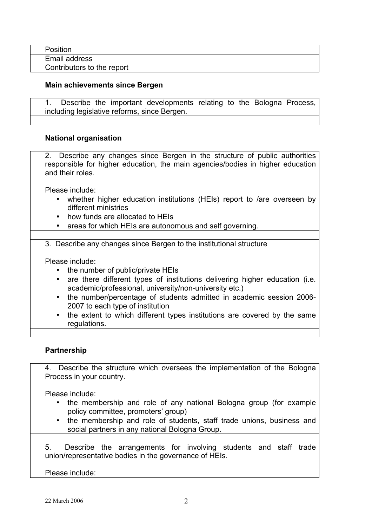| Position                   |  |
|----------------------------|--|
| Email address              |  |
| Contributors to the report |  |

#### **Main achievements since Bergen**

1. Describe the important developments relating to the Bologna Process, including legislative reforms, since Bergen.

#### **National organisation**

2. Describe any changes since Bergen in the structure of public authorities responsible for higher education, the main agencies/bodies in higher education and their roles.

Please include:

- whether higher education institutions (HEIs) report to /are overseen by different ministries
- how funds are allocated to HEIs
- areas for which HEIs are autonomous and self governing.

3. Describe any changes since Bergen to the institutional structure

Please include:

- the number of public/private HEIs
- are there different types of institutions delivering higher education (i.e. academic/professional, university/non-university etc.)
- the number/percentage of students admitted in academic session 2006- 2007 to each type of institution
- the extent to which different types institutions are covered by the same regulations.

#### **Partnership**

4. Describe the structure which oversees the implementation of the Bologna Process in your country.

Please include:

- the membership and role of any national Bologna group (for example policy committee, promoters' group)
- the membership and role of students, staff trade unions, business and social partners in any national Bologna Group.

5. Describe the arrangements for involving students and staff trade union/representative bodies in the governance of HEIs.

Please include: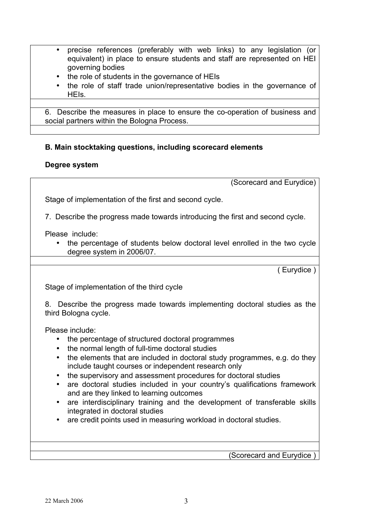- precise references (preferably with web links) to any legislation (or equivalent) in place to ensure students and staff are represented on HEI governing bodies
- the role of students in the governance of HEIs
- the role of staff trade union/representative bodies in the governance of HEIs.

6. Describe the measures in place to ensure the co-operation of business and social partners within the Bologna Process.

# **B. Main stocktaking questions, including scorecard elements**

### **Degree system**

(Scorecard and Eurydice)

Stage of implementation of the first and second cycle.

7. Describe the progress made towards introducing the first and second cycle.

Please include:

• the percentage of students below doctoral level enrolled in the two cycle degree system in 2006/07.

( Eurydice )

Stage of implementation of the third cycle

8. Describe the progress made towards implementing doctoral studies as the third Bologna cycle.

Please include:

- the percentage of structured doctoral programmes
- the normal length of full-time doctoral studies
- the elements that are included in doctoral study programmes, e.g. do they include taught courses or independent research only
- the supervisory and assessment procedures for doctoral studies
- are doctoral studies included in your country's qualifications framework and are they linked to learning outcomes
- are interdisciplinary training and the development of transferable skills integrated in doctoral studies
- are credit points used in measuring workload in doctoral studies.

(Scorecard and Eurydice )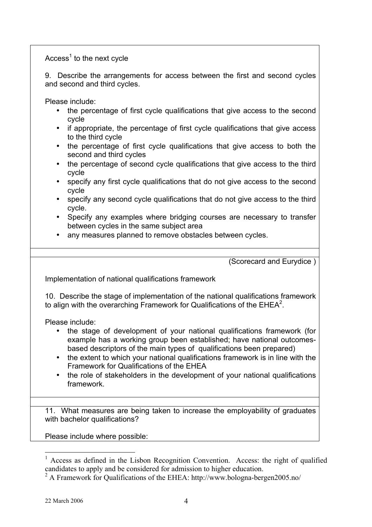$Access<sup>1</sup>$  to the next cycle

9. Describe the arrangements for access between the first and second cycles and second and third cycles.

Please include:

- the percentage of first cycle qualifications that give access to the second cycle
- if appropriate, the percentage of first cycle qualifications that give access to the third cycle
- the percentage of first cycle qualifications that give access to both the second and third cycles
- the percentage of second cycle qualifications that give access to the third cycle
- specify any first cycle qualifications that do not give access to the second cycle
- specify any second cycle qualifications that do not give access to the third cycle.
- Specify any examples where bridging courses are necessary to transfer between cycles in the same subject area
- any measures planned to remove obstacles between cycles.

(Scorecard and Eurydice )

Implementation of national qualifications framework

10. Describe the stage of implementation of the national qualifications framework to align with the overarching Framework for Qualifications of the EHEA<sup>2</sup>.

Please include:

- the stage of development of your national qualifications framework (for example has a working group been established; have national outcomesbased descriptors of the main types of qualifications been prepared)
- the extent to which your national qualifications framework is in line with the Framework for Qualifications of the EHEA
- the role of stakeholders in the development of your national qualifications framework.

11. What measures are being taken to increase the employability of graduates with bachelor qualifications?

Please include where possible:

 $<sup>1</sup>$  Access as defined in the Lisbon Recognition Convention. Access: the right of qualified</sup> candidates to apply and be considered for admission to higher education.

<sup>&</sup>lt;sup>2</sup> A Framework for Qualifications of the EHEA: http://www.bologna-bergen2005.no/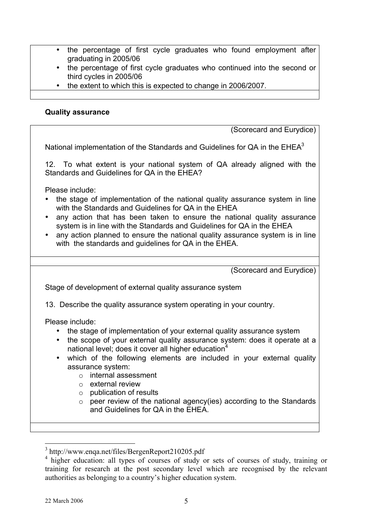- the percentage of first cycle graduates who found employment after graduating in 2005/06
- the percentage of first cycle graduates who continued into the second or third cycles in 2005/06
- the extent to which this is expected to change in 2006/2007.

### **Quality assurance**

(Scorecard and Eurydice)

National implementation of the Standards and Guidelines for  $QA$  in the  $EHEA<sup>3</sup>$ 

12. To what extent is your national system of QA already aligned with the Standards and Guidelines for QA in the EHEA?

Please include:

- the stage of implementation of the national quality assurance system in line with the Standards and Guidelines for QA in the EHEA
- any action that has been taken to ensure the national quality assurance system is in line with the Standards and Guidelines for QA in the EHEA
- any action planned to ensure the national quality assurance system is in line with the standards and guidelines for QA in the EHEA.

(Scorecard and Eurydice) Stage of development of external quality assurance system 13. Describe the quality assurance system operating in your country. Please include: • the stage of implementation of your external quality assurance system • the scope of your external quality assurance system: does it operate at a national level; does it cover all higher education $4$ • which of the following elements are included in your external quality assurance system: o internal assessment o external review o publication of results  $\circ$  peer review of the national agency(ies) according to the Standards and Guidelines for QA in the EHEA.

 <sup>3</sup> http://www.enqa.net/files/BergenReport210205.pdf

<sup>&</sup>lt;sup>4</sup> higher education: all types of courses of study or sets of courses of study, training or training for research at the post secondary level which are recognised by the relevant authorities as belonging to a country's higher education system.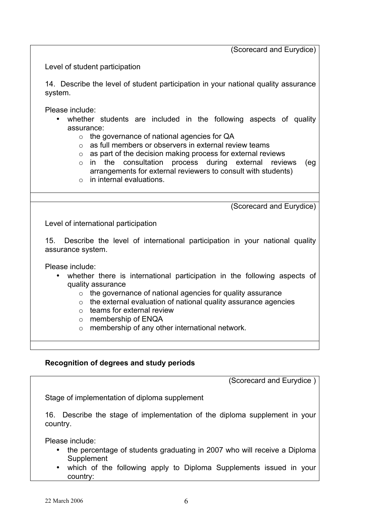(Scorecard and Eurydice)

Level of student participation

14. Describe the level of student participation in your national quality assurance system.

Please include:

- whether students are included in the following aspects of quality assurance:
	- o the governance of national agencies for QA
	- o as full members or observers in external review teams
	- o as part of the decision making process for external reviews
	- o in the consultation process during external reviews (eg arrangements for external reviewers to consult with students)
	- $\circ$  in internal evaluations.

(Scorecard and Eurydice)

Level of international participation

15. Describe the level of international participation in your national quality assurance system.

Please include:

- whether there is international participation in the following aspects of quality assurance
	- o the governance of national agencies for quality assurance
	- o the external evaluation of national quality assurance agencies
	- $\circ$  teams for external review
	- o membership of ENQA
	- o membership of any other international network.

### **Recognition of degrees and study periods**

(Scorecard and Eurydice )

Stage of implementation of diploma supplement

16. Describe the stage of implementation of the diploma supplement in your country.

Please include:

- the percentage of students graduating in 2007 who will receive a Diploma **Supplement**
- which of the following apply to Diploma Supplements issued in your country: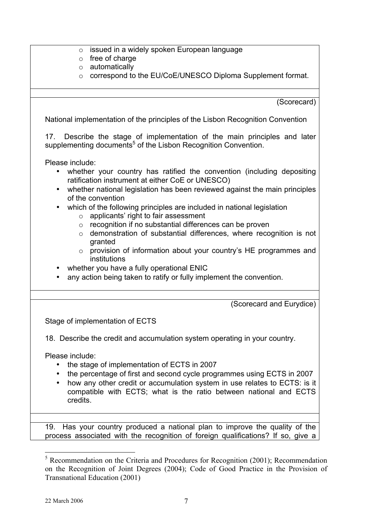|  | $\circ$ issued in a widely spoken European language |  |
|--|-----------------------------------------------------|--|
|--|-----------------------------------------------------|--|

- o free of charge
- o automatically
- o correspond to the EU/CoE/UNESCO Diploma Supplement format.

(Scorecard)

National implementation of the principles of the Lisbon Recognition Convention

17. Describe the stage of implementation of the main principles and later supplementing documents<sup>5</sup> of the Lisbon Recognition Convention.

Please include:

- whether your country has ratified the convention (including depositing ratification instrument at either CoE or UNESCO)
- whether national legislation has been reviewed against the main principles of the convention
- which of the following principles are included in national legislation
	- o applicants' right to fair assessment
	- o recognition if no substantial differences can be proven
	- o demonstration of substantial differences, where recognition is not granted
	- o provision of information about your country's HE programmes and institutions
- whether you have a fully operational ENIC
- any action being taken to ratify or fully implement the convention.

(Scorecard and Eurydice)

Stage of implementation of ECTS

18. Describe the credit and accumulation system operating in your country.

Please include:

- the stage of implementation of ECTS in 2007
- the percentage of first and second cycle programmes using ECTS in 2007
- how any other credit or accumulation system in use relates to ECTS: is it compatible with ECTS; what is the ratio between national and ECTS credits.

19. Has your country produced a national plan to improve the quality of the process associated with the recognition of foreign qualifications? If so, give a

<sup>&</sup>lt;sup>5</sup> Recommendation on the Criteria and Procedures for Recognition (2001); Recommendation on the Recognition of Joint Degrees (2004); Code of Good Practice in the Provision of Transnational Education (2001)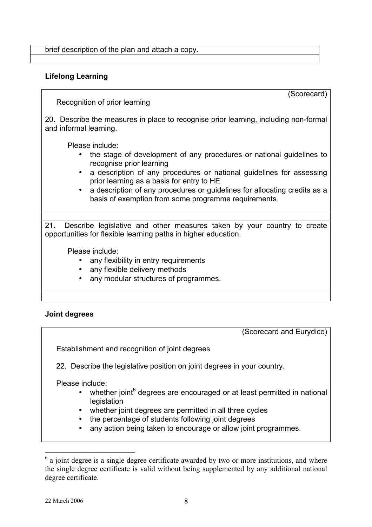brief description of the plan and attach a copy.

## **Lifelong Learning**

(Scorecard)

Recognition of prior learning

20. Describe the measures in place to recognise prior learning, including non-formal and informal learning.

Please include:

- the stage of development of any procedures or national guidelines to recognise prior learning
- a description of any procedures or national guidelines for assessing prior learning as a basis for entry to HE
- a description of any procedures or guidelines for allocating credits as a basis of exemption from some programme requirements.

21. Describe legislative and other measures taken by your country to create opportunities for flexible learning paths in higher education.

Please include:

- any flexibility in entry requirements
- any flexible delivery methods
- any modular structures of programmes.

### **Joint degrees**

(Scorecard and Eurydice)

Establishment and recognition of joint degrees

22. Describe the legislative position on joint degrees in your country.

Please include:

- whether joint $6$  degrees are encouraged or at least permitted in national **legislation**
- whether joint degrees are permitted in all three cycles
- the percentage of students following joint degrees
- any action being taken to encourage or allow joint programmes.

 $6$  a joint degree is a single degree certificate awarded by two or more institutions, and where the single degree certificate is valid without being supplemented by any additional national degree certificate.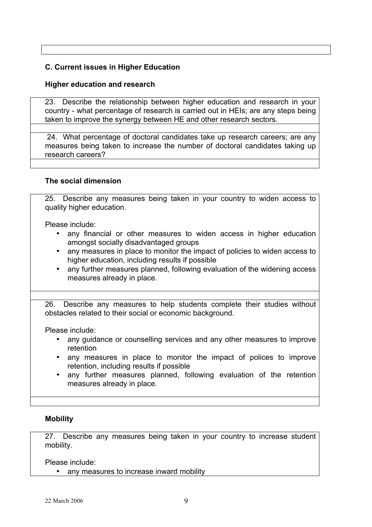# **C. Current issues in Higher Education**

### **Higher education and research**

23. Describe the relationship between higher education and research in your country - what percentage of research is carried out in HEIs; are any steps being taken to improve the synergy between HE and other research sectors.

24. What percentage of doctoral candidates take up research careers; are any measures being taken to increase the number of doctoral candidates taking up research careers?

### **The social dimension**

25. Describe any measures being taken in your country to widen access to quality higher education.

Please include:

- any financial or other measures to widen access in higher education amongst socially disadvantaged groups
- any measures in place to monitor the impact of policies to widen access to higher education, including results if possible
- any further measures planned, following evaluation of the widening access measures already in place.

26. Describe any measures to help students complete their studies without obstacles related to their social or economic background.

Please include:

- any guidance or counselling services and any other measures to improve retention
- any measures in place to monitor the impact of polices to improve retention, including results if possible
- any further measures planned, following evaluation of the retention measures already in place.

### **Mobility**

27. Describe any measures being taken in your country to increase student mobility.

Please include:

• any measures to increase inward mobility